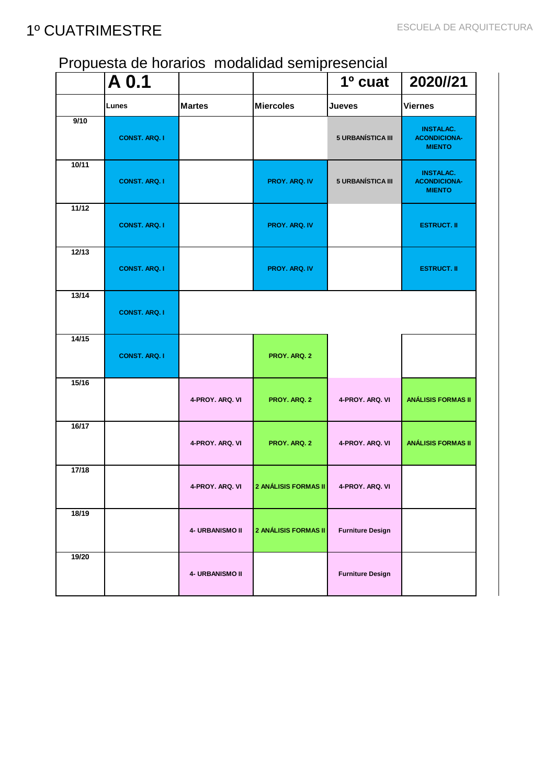#### Propuesta de horarios modalidad semipresencial

|       | $\overline{A}0.1$    |                 |                             | $1o$ cuat               | 2020//21                                                 |
|-------|----------------------|-----------------|-----------------------------|-------------------------|----------------------------------------------------------|
|       | Lunes                | <b>Martes</b>   | <b>Miercoles</b>            | <b>Jueves</b>           | <b>Viernes</b>                                           |
| 9/10  | <b>CONST. ARQ. I</b> |                 |                             | 5 URBANÍSTICA III       | <b>INSTALAC.</b><br><b>ACONDICIONA-</b><br><b>MIENTO</b> |
| 10/11 | <b>CONST. ARQ. I</b> |                 | <b>PROY. ARQ. IV</b>        | 5 URBANÍSTICA III       | <b>INSTALAC.</b><br><b>ACONDICIONA-</b><br><b>MIENTO</b> |
| 11/12 | <b>CONST. ARQ. I</b> |                 | PROY. ARQ. IV               |                         | <b>ESTRUCT. II</b>                                       |
| 12/13 | <b>CONST. ARQ. I</b> |                 | PROY. ARQ. IV               |                         | <b>ESTRUCT. II</b>                                       |
| 13/14 | <b>CONST. ARQ. I</b> |                 |                             |                         |                                                          |
| 14/15 | <b>CONST. ARQ. I</b> |                 | PROY. ARQ. 2                |                         |                                                          |
| 15/16 |                      | 4-PROY. ARQ. VI | PROY. ARQ. 2                | 4-PROY. ARQ. VI         | <b>ANÁLISIS FORMAS II</b>                                |
| 16/17 |                      | 4-PROY, ARQ, VI | PROY. ARQ. 2                | 4-PROY, ARQ, VI         | <b>ANÁLISIS FORMAS II</b>                                |
| 17/18 |                      | 4-PROY. ARQ. VI | <b>2 ANÁLISIS FORMAS II</b> | 4-PROY. ARQ. VI         |                                                          |
| 18/19 |                      | 4- URBANISMO II | 2 ANÁLISIS FORMAS II        | <b>Furniture Design</b> |                                                          |
| 19/20 |                      | 4- URBANISMO II |                             | <b>Furniture Design</b> |                                                          |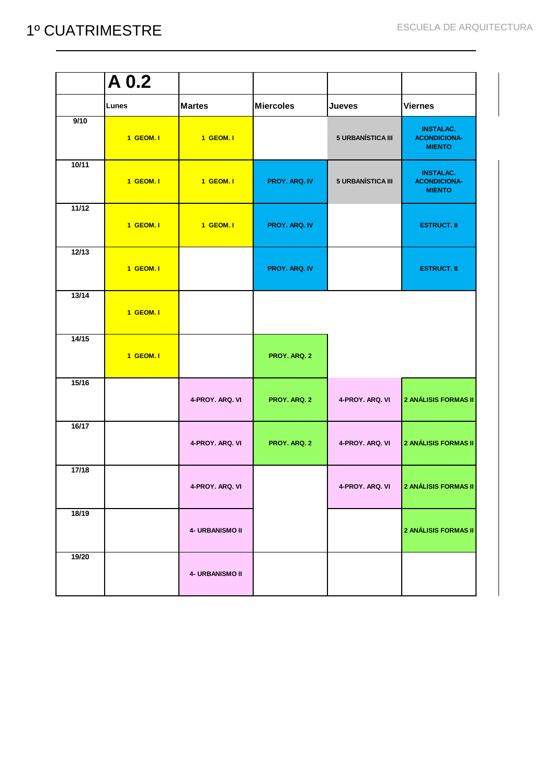|       | $\overline{A}$ 0.2 |                 |                      |                          |                                                          |
|-------|--------------------|-----------------|----------------------|--------------------------|----------------------------------------------------------|
|       | Lunes              | <b>Martes</b>   | <b>Miercoles</b>     | <b>Jueves</b>            | <b>Viernes</b>                                           |
| 9/10  | 1 GEOM. I          | 1 GEOM. I       |                      | <b>5 URBANÍSTICA III</b> | <b>INSTALAC.</b><br><b>ACONDICIONA-</b><br><b>MIENTO</b> |
| 10/11 | 1 GEOM. I          | 1 GEOM. I       | <b>PROY. ARQ. IV</b> | 5 URBANÍSTICA III        | <b>INSTALAC.</b><br><b>ACONDICIONA-</b><br><b>MIENTO</b> |
| 11/12 | 1 GEOM. I          | 1 GEOM. I       | PROY. ARQ. IV        |                          | <b>ESTRUCT. II</b>                                       |
| 12/13 | 1 GEOM. I          |                 | PROY. ARQ. IV        |                          | <b>ESTRUCT. II</b>                                       |
| 13/14 | 1 GEOM. I          |                 |                      |                          |                                                          |
| 14/15 | 1 GEOM. I          |                 | PROY. ARQ. 2         |                          |                                                          |
| 15/16 |                    | 4-PROY. ARQ. VI | PROY. ARQ. 2         | 4-PROY. ARQ. VI          | 2 ANÁLISIS FORMAS II                                     |
| 16/17 |                    | 4-PROY. ARQ. VI | PROY. ARQ. 2         | 4-PROY. ARQ. VI          | 2 ANÁLISIS FORMAS II                                     |
| 17/18 |                    | 4-PROY. ARQ. VI |                      | 4-PROY. ARQ. VI          | 2 ANÁLISIS FORMAS II                                     |
| 18/19 |                    | 4- URBANISMO II |                      |                          | 2 ANÁLISIS FORMAS II                                     |
| 19/20 |                    | 4- URBANISMO II |                      |                          |                                                          |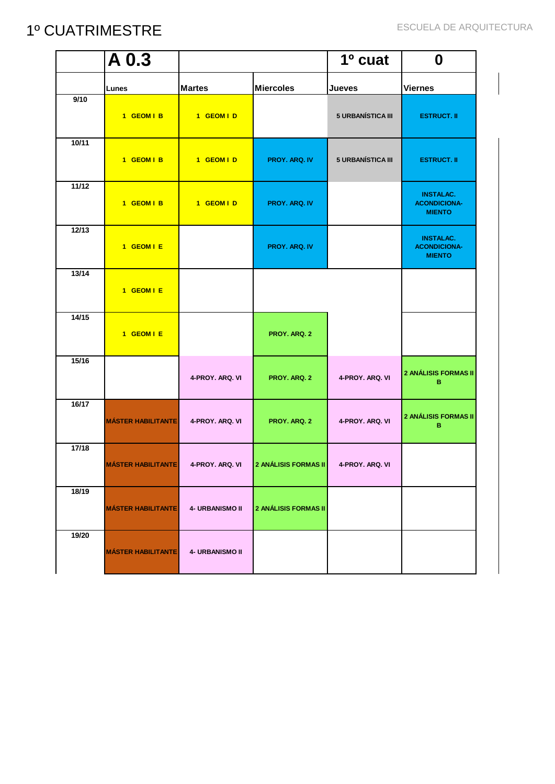|       | $\overline{A}$ 0.3        |                        |                             | 1º cuat                  | $\boldsymbol{0}$                                         |
|-------|---------------------------|------------------------|-----------------------------|--------------------------|----------------------------------------------------------|
|       | Lunes                     | <b>Martes</b>          | <b>Miercoles</b>            | <b>Jueves</b>            | <b>Viernes</b>                                           |
| 9/10  | 1 GEOM   B                | 1 GEOM I D             |                             | <b>5 URBANÍSTICA III</b> | <b>ESTRUCT. II</b>                                       |
| 10/11 | 1 GEOM I B                | 1 GEOM I D             | PROY. ARQ. IV               | 5 URBANÍSTICA III        | <b>ESTRUCT. II</b>                                       |
| 11/12 | 1 GEOM I B                | 1 GEOM I D             | <b>PROY. ARQ. IV</b>        |                          | <b>INSTALAC.</b><br><b>ACONDICIONA-</b><br><b>MIENTO</b> |
| 12/13 | 1 GEOM I E                |                        | PROY. ARQ. IV               |                          | <b>INSTALAC.</b><br><b>ACONDICIONA-</b><br><b>MIENTO</b> |
| 13/14 | 1 GEOM I E                |                        |                             |                          |                                                          |
| 14/15 | 1 GEOM I E                |                        | PROY. ARQ. 2                |                          |                                                          |
| 15/16 |                           | 4-PROY. ARQ. VI        | PROY. ARQ. 2                | 4-PROY. ARQ. VI          | 2 ANÁLISIS FORMAS II<br>в                                |
| 16/17 | <b>MÁSTER HABILITANTE</b> | 4-PROY. ARQ. VI        | PROY. ARQ. 2                | 4-PROY. ARQ. VI          | 2 ANÁLISIS FORMAS II<br>в                                |
| 17/18 | <b>MÁSTER HABILITANTE</b> | 4-PROY. ARQ. VI        | <b>2 ANÁLISIS FORMAS II</b> | 4-PROY, ARQ, VI          |                                                          |
| 18/19 | <b>MÁSTER HABILITANTE</b> | <b>4- URBANISMO II</b> | 2 ANÁLISIS FORMAS II        |                          |                                                          |
| 19/20 | <b>MÁSTER HABILITANTE</b> | <b>4- URBANISMO II</b> |                             |                          |                                                          |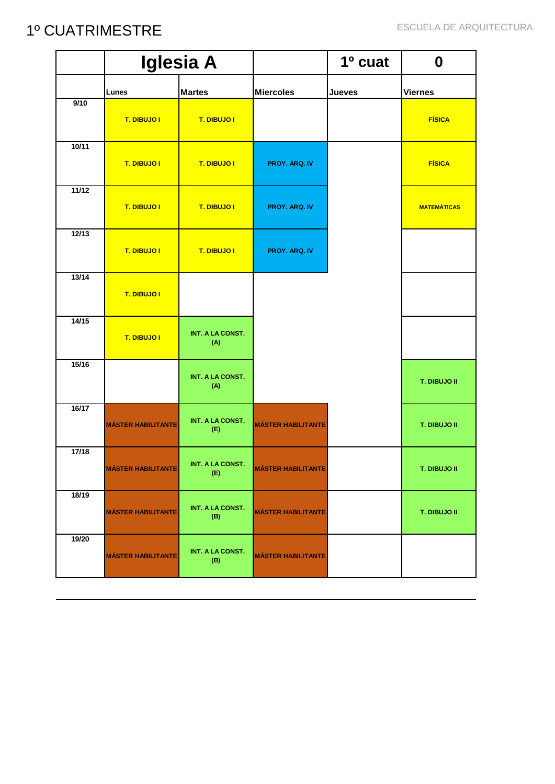|       | <b>Iglesia A</b>          |                                |                           | 1º cuat       |                     |
|-------|---------------------------|--------------------------------|---------------------------|---------------|---------------------|
|       | Lunes                     | <b>Martes</b>                  | <b>Miercoles</b>          | <b>Jueves</b> | <b>Viernes</b>      |
| 9/10  | T. DIBUJO I               | T. DIBUJO I                    |                           |               | <b>FÍSICA</b>       |
| 10/11 | T. DIBUJO I               | T. DIBUJO I                    | <b>PROY. ARQ. IV</b>      |               | <b>FÍSICA</b>       |
| 11/12 | T. DIBUJO I               | T. DIBUJO I                    | <b>PROY. ARQ. IV</b>      |               | <b>MATEMÁTICAS</b>  |
| 12/13 | T. DIBUJO I               | T. DIBUJO I                    | PROY. ARQ. IV             |               |                     |
| 13/14 | T. DIBUJO I               |                                |                           |               |                     |
| 14/15 | T. DIBUJO I               | <b>INT. A LA CONST.</b><br>(A) |                           |               |                     |
| 15/16 |                           | <b>INT. A LA CONST.</b><br>(A) |                           |               | T. DIBUJO II        |
| 16/17 | <b>MÁSTER HABILITANTE</b> | <b>INT. A LA CONST.</b><br>(E) | <b>MÁSTER HABILITANTE</b> |               | <b>T. DIBUJO II</b> |
| 17/18 | <b>MÁSTER HABILITANTE</b> | <b>INT. A LA CONST.</b><br>(E) | <b>MÁSTER HABILITANTE</b> |               | T. DIBUJO II        |
| 18/19 | <b>MÁSTER HABILITANTE</b> | <b>INT. A LA CONST.</b><br>(B) | <b>MÁSTER HABILITANTE</b> |               | T. DIBUJO II        |
| 19/20 | <b>MÁSTER HABILITANTE</b> | <b>INT. A LA CONST.</b><br>(B) | <b>MÁSTER HABILITANTE</b> |               |                     |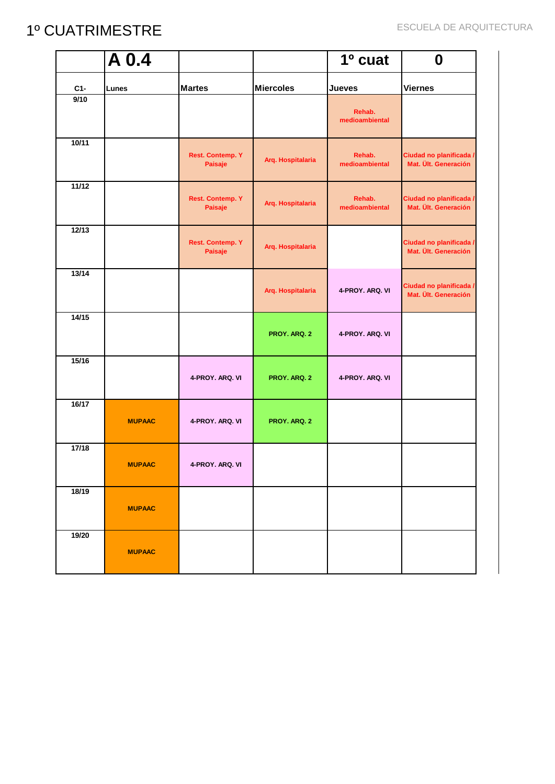|       | $\overline{A}0.4$ |                                    |                   | 1º cuat                  | $\boldsymbol{0}$                                |
|-------|-------------------|------------------------------------|-------------------|--------------------------|-------------------------------------------------|
| $C1-$ | Lunes             | <b>Martes</b>                      | <b>Miercoles</b>  | <b>Jueves</b>            | <b>Viernes</b>                                  |
| 9/10  |                   |                                    |                   | Rehab.<br>medioambiental |                                                 |
| 10/11 |                   | <b>Rest. Contemp. Y</b><br>Paisaje | Arq. Hospitalaria | Rehab.<br>medioambiental | Ciudad no planificada /<br>Mat. Ült. Generación |
| 11/12 |                   | <b>Rest. Contemp. Y</b><br>Paisaje | Arq. Hospitalaria | Rehab.<br>medioambiental | Ciudad no planificada /<br>Mat. Ült. Generación |
| 12/13 |                   | <b>Rest. Contemp. Y</b><br>Paisaje | Arq. Hospitalaria |                          | Ciudad no planificada /<br>Mat. Ült. Generación |
| 13/14 |                   |                                    | Arq. Hospitalaria | 4-PROY. ARQ. VI          | Ciudad no planificada /<br>Mat. Ült. Generación |
| 14/15 |                   |                                    | PROY. ARQ. 2      | 4-PROY. ARQ. VI          |                                                 |
| 15/16 |                   | 4-PROY. ARQ. VI                    | PROY. ARQ. 2      | 4-PROY. ARQ. VI          |                                                 |
| 16/17 | <b>MUPAAC</b>     | 4-PROY. ARQ. VI                    | PROY. ARQ. 2      |                          |                                                 |
| 17/18 | <b>MUPAAC</b>     | 4-PROY, ARQ, VI                    |                   |                          |                                                 |
| 18/19 | <b>MUPAAC</b>     |                                    |                   |                          |                                                 |
| 19/20 | <b>MUPAAC</b>     |                                    |                   |                          |                                                 |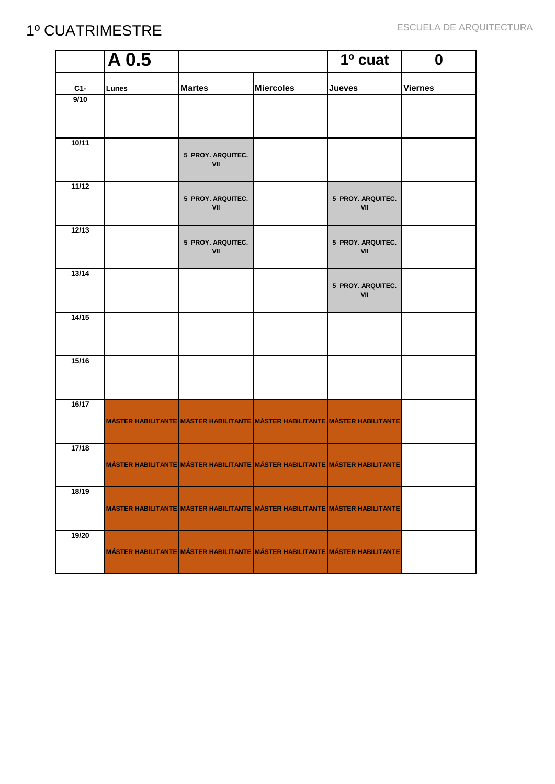|       | $\overline{A}0.5$                                                           |                          |                                                                             | 1º cuat                  | $\boldsymbol{0}$ |
|-------|-----------------------------------------------------------------------------|--------------------------|-----------------------------------------------------------------------------|--------------------------|------------------|
| $C1-$ | Lunes                                                                       | <b>Martes</b>            | <b>Miercoles</b>                                                            | <b>Jueves</b>            | <b>Viernes</b>   |
| 9/10  |                                                                             |                          |                                                                             |                          |                  |
|       |                                                                             |                          |                                                                             |                          |                  |
| 10/11 |                                                                             | 5 PROY. ARQUITEC.<br>VII |                                                                             |                          |                  |
| 11/12 |                                                                             | 5 PROY. ARQUITEC.<br>VII |                                                                             | 5 PROY. ARQUITEC.<br>VII |                  |
| 12/13 |                                                                             | 5 PROY. ARQUITEC.<br>VII |                                                                             | 5 PROY. ARQUITEC.<br>VII |                  |
| 13/14 |                                                                             |                          |                                                                             | 5 PROY. ARQUITEC.<br>VII |                  |
| 14/15 |                                                                             |                          |                                                                             |                          |                  |
| 15/16 |                                                                             |                          |                                                                             |                          |                  |
| 16/17 | MÁSTER HABILITANTE MÁSTER HABILITANTE MÁSTER HABILITANTE MÁSTER HABILITANTE |                          |                                                                             |                          |                  |
| 17/18 | MÁSTER HABILITANTE MÁSTER HABILITANTE MÁSTER HABILITANTE MÁSTER HABILITANTE |                          |                                                                             |                          |                  |
| 18/19 |                                                                             |                          | MÁSTER HABILITANTE MÁSTER HABILITANTE MÁSTER HABILITANTE MÁSTER HABILITANTE |                          |                  |
| 19/20 |                                                                             |                          | MÁSTER HABILITANTE MÁSTER HABILITANTE MÁSTER HABILITANTE MÁSTER HABILITANTE |                          |                  |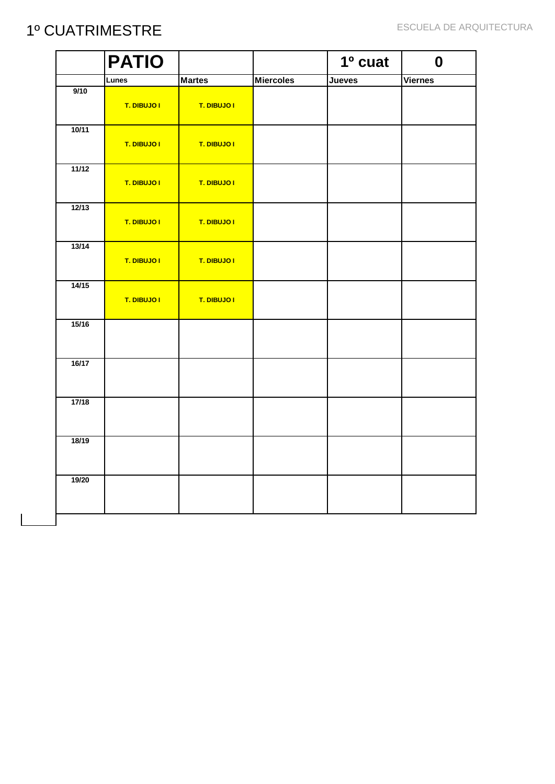|       | <b>PATIO</b> |               |                  | 1º cuat       | $\boldsymbol{0}$ |
|-------|--------------|---------------|------------------|---------------|------------------|
|       | Lunes        | <b>Martes</b> | <b>Miercoles</b> | <b>Jueves</b> | <b>Viernes</b>   |
| 9/10  | T. DIBUJO I  | T. DIBUJO I   |                  |               |                  |
| 10/11 | T. DIBUJO I  | T. DIBUJO I   |                  |               |                  |
| 11/12 | T. DIBUJO I  | T. DIBUJO I   |                  |               |                  |
| 12/13 | T. DIBUJO I  | T. DIBUJO I   |                  |               |                  |
| 13/14 | T. DIBUJO I  | T. DIBUJO I   |                  |               |                  |
| 14/15 | T. DIBUJO I  | T. DIBUJO I   |                  |               |                  |
| 15/16 |              |               |                  |               |                  |
| 16/17 |              |               |                  |               |                  |
| 17/18 |              |               |                  |               |                  |
| 18/19 |              |               |                  |               |                  |
| 19/20 |              |               |                  |               |                  |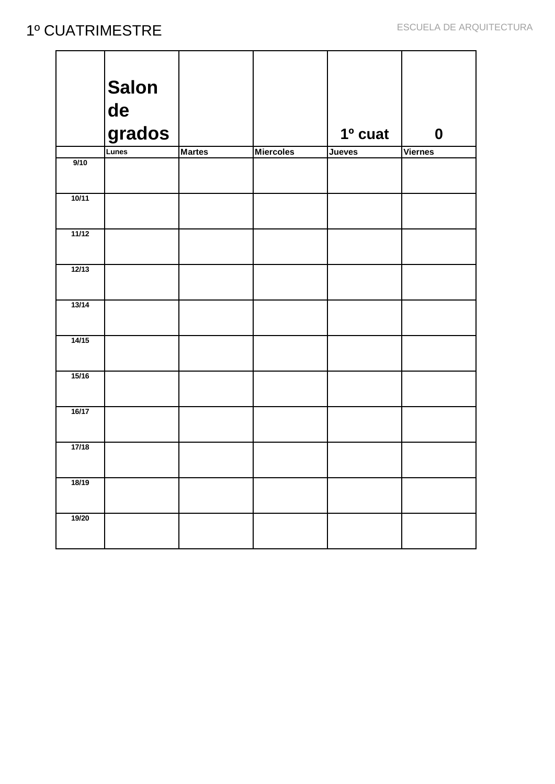|       | <b>Salon</b> |               |                  |               |                  |
|-------|--------------|---------------|------------------|---------------|------------------|
|       | de           |               |                  |               |                  |
|       | grados       |               |                  | 1º cuat       | $\boldsymbol{0}$ |
|       | Lunes        | <b>Martes</b> | <b>Miercoles</b> | <b>Jueves</b> | <b>Viernes</b>   |
| 9/10  |              |               |                  |               |                  |
| 10/11 |              |               |                  |               |                  |
| 11/12 |              |               |                  |               |                  |
| 12/13 |              |               |                  |               |                  |
| 13/14 |              |               |                  |               |                  |
| 14/15 |              |               |                  |               |                  |
| 15/16 |              |               |                  |               |                  |
| 16/17 |              |               |                  |               |                  |
| 17/18 |              |               |                  |               |                  |
| 18/19 |              |               |                  |               |                  |
| 19/20 |              |               |                  |               |                  |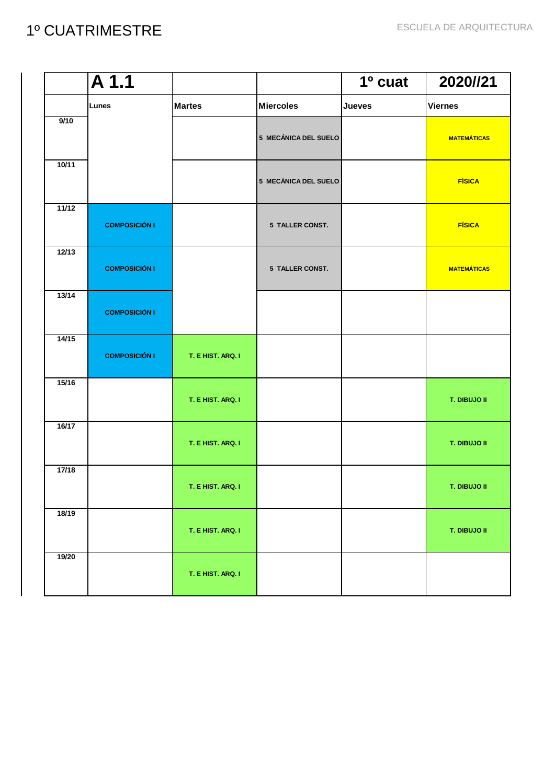|       | $\overline{A1.1}$    |                   |                      | 1º cuat       | 2020//21            |
|-------|----------------------|-------------------|----------------------|---------------|---------------------|
|       | Lunes                | <b>Martes</b>     | <b>Miercoles</b>     | <b>Jueves</b> | <b>Viernes</b>      |
| 9/10  |                      |                   | 5 MECÁNICA DEL SUELO |               | <b>MATEMÁTICAS</b>  |
| 10/11 |                      |                   | 5 MECÁNICA DEL SUELO |               | <b>FÍSICA</b>       |
| 11/12 | <b>COMPOSICIÓN I</b> |                   | 5 TALLER CONST.      |               | <b>FÍSICA</b>       |
| 12/13 | <b>COMPOSICIÓN I</b> |                   | 5 TALLER CONST.      |               | <b>MATEMÁTICAS</b>  |
| 13/14 | <b>COMPOSICIÓN I</b> |                   |                      |               |                     |
| 14/15 | <b>COMPOSICIÓN I</b> | T. E HIST. ARQ. I |                      |               |                     |
| 15/16 |                      | T. E HIST. ARQ. I |                      |               | T. DIBUJO II        |
| 16/17 |                      | T. E HIST. ARQ. I |                      |               | T. DIBUJO II        |
| 17/18 |                      | T. E HIST. ARQ. I |                      |               | <b>T. DIBUJO II</b> |
| 18/19 |                      | T. E HIST. ARQ. I |                      |               | T. DIBUJO II        |
| 19/20 |                      | T. E HIST. ARQ. I |                      |               |                     |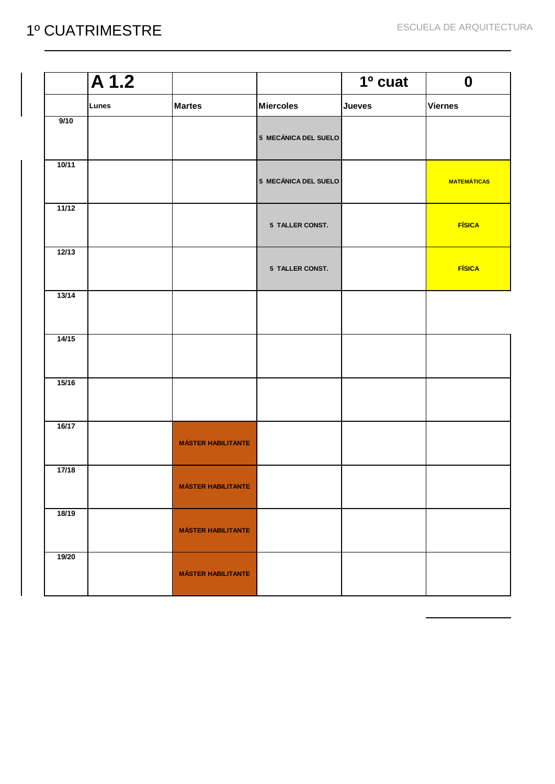|       | $\overline{A1.2}$ |                           |                      | 1º cuat       | $\boldsymbol{0}$   |
|-------|-------------------|---------------------------|----------------------|---------------|--------------------|
|       | Lunes             | <b>Martes</b>             | <b>Miercoles</b>     | <b>Jueves</b> | <b>Viernes</b>     |
| 9/10  |                   |                           | 5 MECÁNICA DEL SUELO |               |                    |
| 10/11 |                   |                           | 5 MECÁNICA DEL SUELO |               | <b>MATEMÁTICAS</b> |
| 11/12 |                   |                           | 5 TALLER CONST.      |               | <b>FÍSICA</b>      |
| 12/13 |                   |                           | 5 TALLER CONST.      |               | <b>FÍSICA</b>      |
| 13/14 |                   |                           |                      |               |                    |
| 14/15 |                   |                           |                      |               |                    |
| 15/16 |                   |                           |                      |               |                    |
| 16/17 |                   | <b>MÁSTER HABILITANTE</b> |                      |               |                    |
| 17/18 |                   | <b>MÁSTER HABILITANTE</b> |                      |               |                    |
| 18/19 |                   | <b>MÁSTER HABILITANTE</b> |                      |               |                    |
| 19/20 |                   | <b>MÁSTER HABILITANTE</b> |                      |               |                    |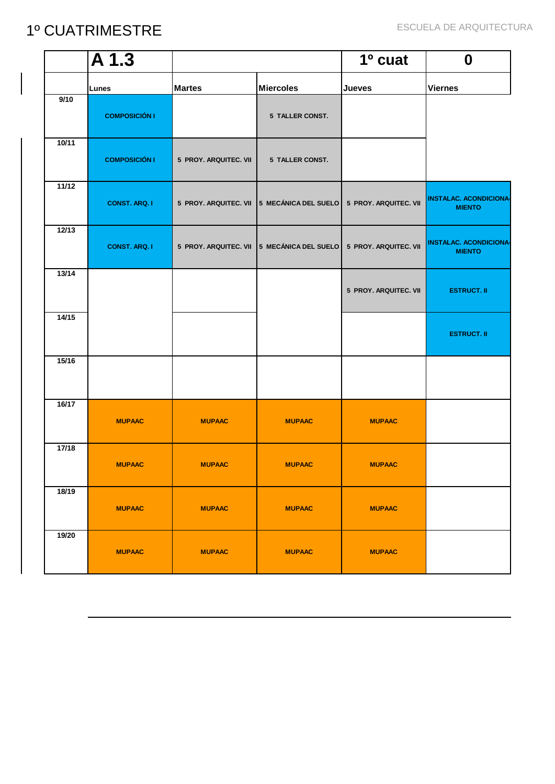|       | $\overline{A1.3}$    |                       |                                                                  | 1º cuat               | $\boldsymbol{0}$                               |
|-------|----------------------|-----------------------|------------------------------------------------------------------|-----------------------|------------------------------------------------|
|       | Lunes                | <b>Martes</b>         | <b>Miercoles</b>                                                 | <b>Jueves</b>         | <b>Viernes</b>                                 |
| 9/10  | <b>COMPOSICIÓN I</b> |                       | 5 TALLER CONST.                                                  |                       |                                                |
| 10/11 | <b>COMPOSICIÓN I</b> | 5 PROY. ARQUITEC. VII | 5 TALLER CONST.                                                  |                       |                                                |
| 11/12 | <b>CONST. ARQ. I</b> |                       | 5 PROY. ARQUITEC. VII 5 MECÁNICA DEL SUELO 5 PROY. ARQUITEC. VII |                       | <b>INSTALAC. ACONDICIONA-</b><br><b>MIENTO</b> |
| 12/13 | <b>CONST. ARQ. I</b> |                       | 5 PROY. ARQUITEC. VII 5 MECÁNICA DEL SUELO 5 PROY. ARQUITEC. VII |                       | <b>INSTALAC. ACONDICIONA-</b><br><b>MIENTO</b> |
| 13/14 |                      |                       |                                                                  | 5 PROY. ARQUITEC. VII | <b>ESTRUCT. II</b>                             |
| 14/15 |                      |                       |                                                                  |                       | <b>ESTRUCT. II</b>                             |
| 15/16 |                      |                       |                                                                  |                       |                                                |
| 16/17 | <b>MUPAAC</b>        | <b>MUPAAC</b>         | <b>MUPAAC</b>                                                    | <b>MUPAAC</b>         |                                                |
| 17/18 | <b>MUPAAC</b>        | <b>MUPAAC</b>         | <b>MUPAAC</b>                                                    | <b>MUPAAC</b>         |                                                |
| 18/19 | <b>MUPAAC</b>        | <b>MUPAAC</b>         | <b>MUPAAC</b>                                                    | <b>MUPAAC</b>         |                                                |
| 19/20 | <b>MUPAAC</b>        | <b>MUPAAC</b>         | <b>MUPAAC</b>                                                    | <b>MUPAAC</b>         |                                                |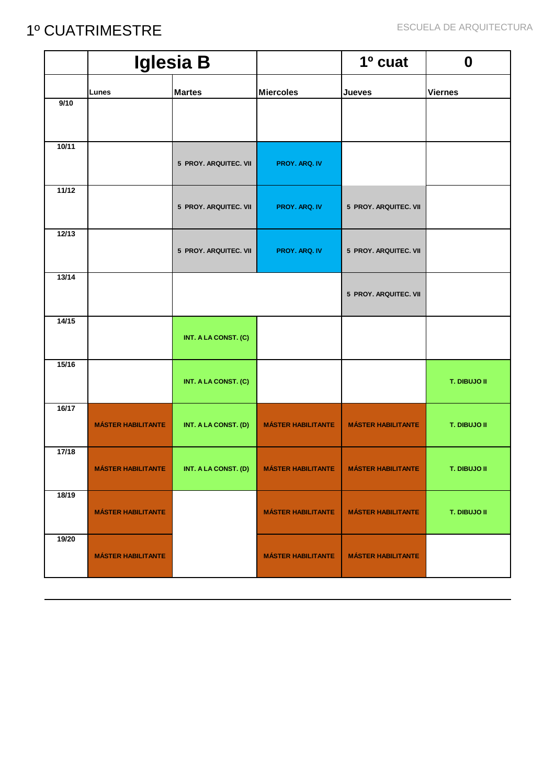|       |                           | <b>Iglesia B</b>      |                           | 1º cuat                   | $\boldsymbol{0}$    |
|-------|---------------------------|-----------------------|---------------------------|---------------------------|---------------------|
|       | Lunes                     | <b>Martes</b>         | <b>Miercoles</b>          | <b>Jueves</b>             | <b>Viernes</b>      |
| 9/10  |                           |                       |                           |                           |                     |
| 10/11 |                           | 5 PROY. ARQUITEC. VII | <b>PROY. ARQ. IV</b>      |                           |                     |
| 11/12 |                           | 5 PROY. ARQUITEC. VII | PROY. ARQ. IV             | 5 PROY. ARQUITEC. VII     |                     |
| 12/13 |                           | 5 PROY. ARQUITEC. VII | PROY. ARQ. IV             | 5 PROY. ARQUITEC. VII     |                     |
| 13/14 |                           |                       |                           | 5 PROY. ARQUITEC. VII     |                     |
| 14/15 |                           | INT. A LA CONST. (C)  |                           |                           |                     |
| 15/16 |                           | INT. A LA CONST. (C)  |                           |                           | T. DIBUJO II        |
| 16/17 | <b>MÁSTER HABILITANTE</b> | INT. A LA CONST. (D)  | <b>MÁSTER HABILITANTE</b> | <b>MÁSTER HABILITANTE</b> | <b>T. DIBUJO II</b> |
| 17/18 | <b>MÁSTER HABILITANTE</b> | INT. A LA CONST. (D)  | <b>MÁSTER HABILITANTE</b> | <b>MÁSTER HABILITANTE</b> | T. DIBUJO II        |
| 18/19 | <b>MÁSTER HABILITANTE</b> |                       | <b>MÁSTER HABILITANTE</b> | <b>MÁSTER HABILITANTE</b> | T. DIBUJO II        |
| 19/20 | <b>MÁSTER HABILITANTE</b> |                       | <b>MÁSTER HABILITANTE</b> | <b>MÁSTER HABILITANTE</b> |                     |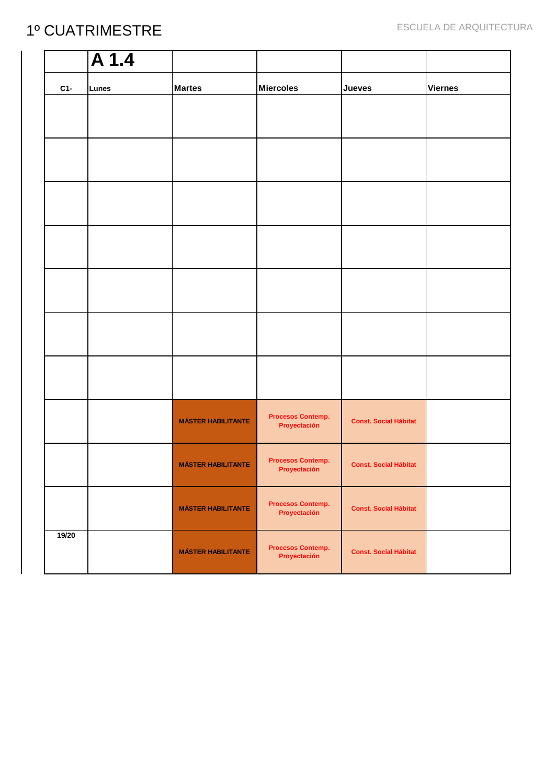|       | $\overline{A1.4}$ |                           |                                          |                              |                |
|-------|-------------------|---------------------------|------------------------------------------|------------------------------|----------------|
| $C1-$ | Lunes             | <b>Martes</b>             | <b>Miercoles</b>                         | <b>Jueves</b>                | <b>Viernes</b> |
|       |                   |                           |                                          |                              |                |
|       |                   |                           |                                          |                              |                |
|       |                   |                           |                                          |                              |                |
|       |                   |                           |                                          |                              |                |
|       |                   |                           |                                          |                              |                |
|       |                   |                           |                                          |                              |                |
|       |                   |                           |                                          |                              |                |
|       |                   | <b>MÁSTER HABILITANTE</b> | <b>Procesos Contemp.</b><br>Proyectación | <b>Const. Social Hábitat</b> |                |
|       |                   | <b>MÁSTER HABILITANTE</b> | <b>Procesos Contemp.</b><br>Proyectación | <b>Const. Social Hábitat</b> |                |
|       |                   | <b>MÁSTER HABILITANTE</b> | <b>Procesos Contemp.</b><br>Proyectación | <b>Const. Social Hábitat</b> |                |
| 19/20 |                   | <b>MÁSTER HABILITANTE</b> | <b>Procesos Contemp.</b><br>Proyectación | <b>Const. Social Hábitat</b> |                |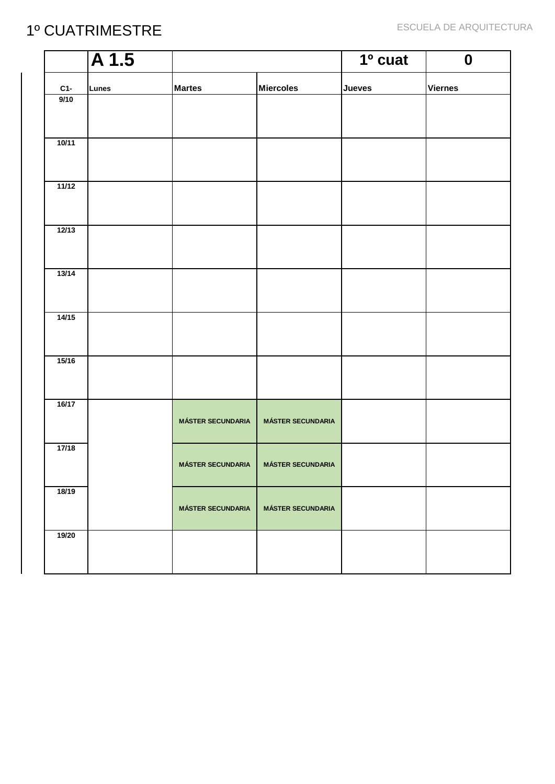|       | $\overline{A1.5}$ |                          |                                       | $1°$ cuat     | $\boldsymbol{0}$ |
|-------|-------------------|--------------------------|---------------------------------------|---------------|------------------|
| $C1-$ | <b>Lunes</b>      | <b>Martes</b>            | <b>Miercoles</b>                      | <b>Jueves</b> | <b>Viernes</b>   |
| 9/10  |                   |                          |                                       |               |                  |
| 10/11 |                   |                          |                                       |               |                  |
| 11/12 |                   |                          |                                       |               |                  |
| 12/13 |                   |                          |                                       |               |                  |
| 13/14 |                   |                          |                                       |               |                  |
| 14/15 |                   |                          |                                       |               |                  |
| 15/16 |                   |                          |                                       |               |                  |
| 16/17 |                   | <b>MÁSTER SECUNDARIA</b> | <b>MÁSTER SECUNDARIA</b>              |               |                  |
| 17/18 |                   |                          | MÁSTER SECUNDARIA   MÁSTER SECUNDARIA |               |                  |
| 18/19 |                   | <b>MÁSTER SECUNDARIA</b> | <b>MÁSTER SECUNDARIA</b>              |               |                  |
| 19/20 |                   |                          |                                       |               |                  |